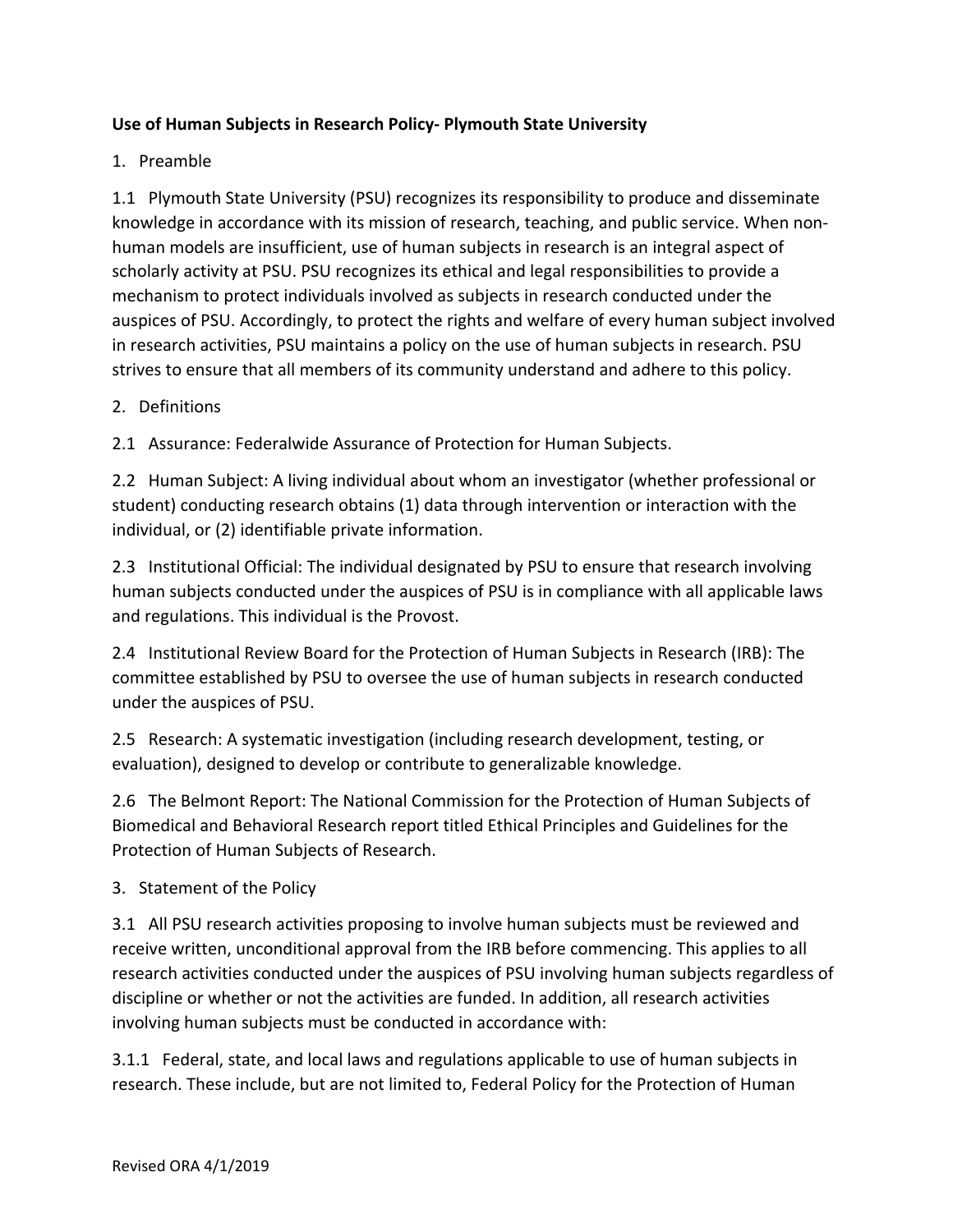## **Use of Human Subjects in Research Policy‐ Plymouth State University**

## 1. Preamble

1.1 Plymouth State University (PSU) recognizes its responsibility to produce and disseminate knowledge in accordance with its mission of research, teaching, and public service. When non‐ human models are insufficient, use of human subjects in research is an integral aspect of scholarly activity at PSU. PSU recognizes its ethical and legal responsibilities to provide a mechanism to protect individuals involved as subjects in research conducted under the auspices of PSU. Accordingly, to protect the rights and welfare of every human subject involved in research activities, PSU maintains a policy on the use of human subjects in research. PSU strives to ensure that all members of its community understand and adhere to this policy.

## 2. Definitions

2.1 Assurance: Federalwide Assurance of Protection for Human Subjects.

2.2 Human Subject: A living individual about whom an investigator (whether professional or student) conducting research obtains (1) data through intervention or interaction with the individual, or (2) identifiable private information.

2.3 Institutional Official: The individual designated by PSU to ensure that research involving human subjects conducted under the auspices of PSU is in compliance with all applicable laws and regulations. This individual is the Provost.

2.4 Institutional Review Board for the Protection of Human Subjects in Research (IRB): The committee established by PSU to oversee the use of human subjects in research conducted under the auspices of PSU.

2.5 Research: A systematic investigation (including research development, testing, or evaluation), designed to develop or contribute to generalizable knowledge.

2.6 The Belmont Report: The National Commission for the Protection of Human Subjects of Biomedical and Behavioral Research report titled Ethical Principles and Guidelines for the Protection of Human Subjects of Research.

## 3. Statement of the Policy

3.1 All PSU research activities proposing to involve human subjects must be reviewed and receive written, unconditional approval from the IRB before commencing. This applies to all research activities conducted under the auspices of PSU involving human subjects regardless of discipline or whether or not the activities are funded. In addition, all research activities involving human subjects must be conducted in accordance with:

3.1.1 Federal, state, and local laws and regulations applicable to use of human subjects in research. These include, but are not limited to, Federal Policy for the Protection of Human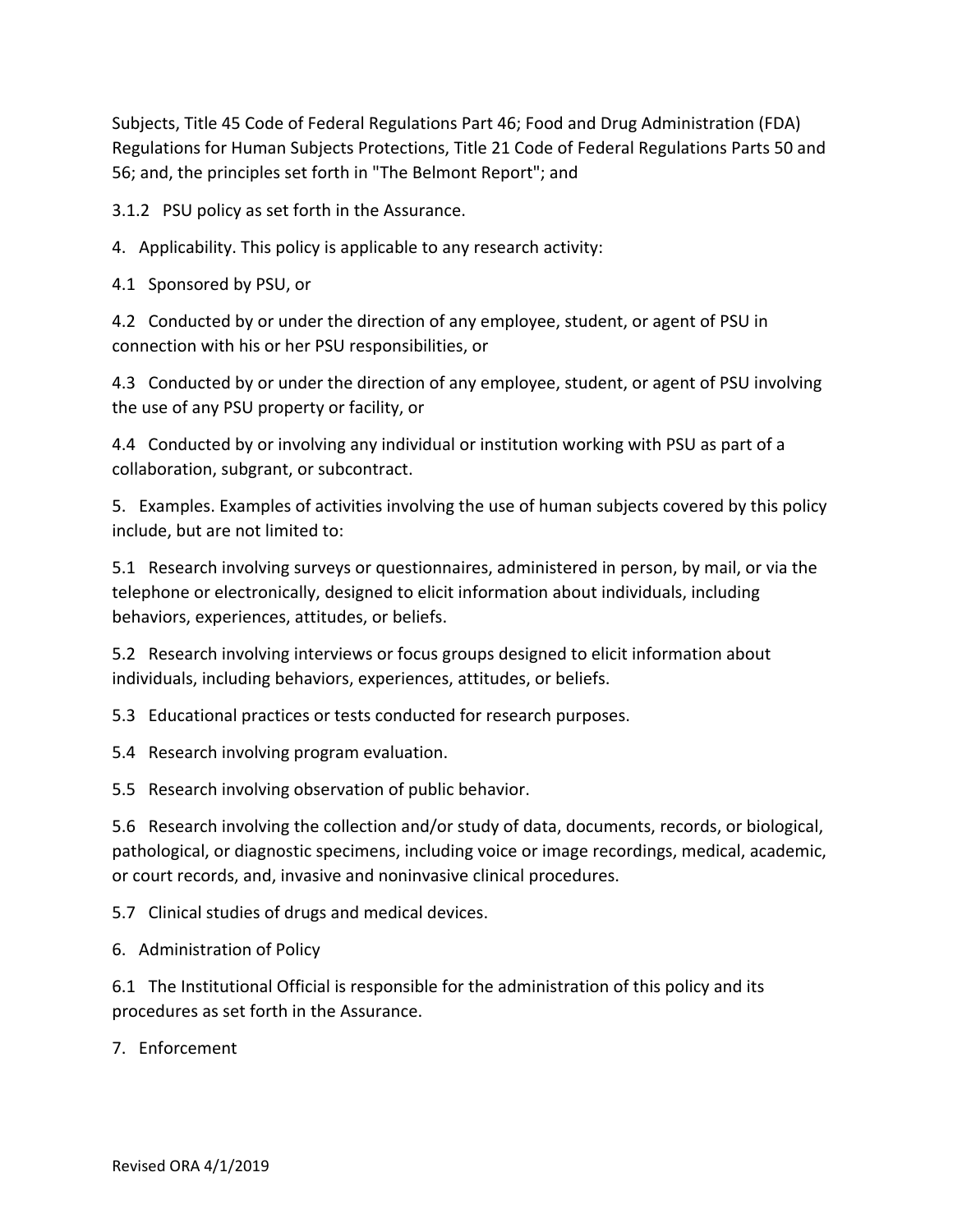Subjects, Title 45 Code of Federal Regulations Part 46; Food and Drug Administration (FDA) Regulations for Human Subjects Protections, Title 21 Code of Federal Regulations Parts 50 and 56; and, the principles set forth in "The Belmont Report"; and

3.1.2 PSU policy as set forth in the Assurance.

4. Applicability. This policy is applicable to any research activity:

4.1 Sponsored by PSU, or

4.2 Conducted by or under the direction of any employee, student, or agent of PSU in connection with his or her PSU responsibilities, or

4.3 Conducted by or under the direction of any employee, student, or agent of PSU involving the use of any PSU property or facility, or

4.4 Conducted by or involving any individual or institution working with PSU as part of a collaboration, subgrant, or subcontract.

5. Examples. Examples of activities involving the use of human subjects covered by this policy include, but are not limited to:

5.1 Research involving surveys or questionnaires, administered in person, by mail, or via the telephone or electronically, designed to elicit information about individuals, including behaviors, experiences, attitudes, or beliefs.

5.2 Research involving interviews or focus groups designed to elicit information about individuals, including behaviors, experiences, attitudes, or beliefs.

5.3 Educational practices or tests conducted for research purposes.

5.4 Research involving program evaluation.

5.5 Research involving observation of public behavior.

5.6 Research involving the collection and/or study of data, documents, records, or biological, pathological, or diagnostic specimens, including voice or image recordings, medical, academic, or court records, and, invasive and noninvasive clinical procedures.

5.7 Clinical studies of drugs and medical devices.

6. Administration of Policy

6.1 The Institutional Official is responsible for the administration of this policy and its procedures as set forth in the Assurance.

7. Enforcement